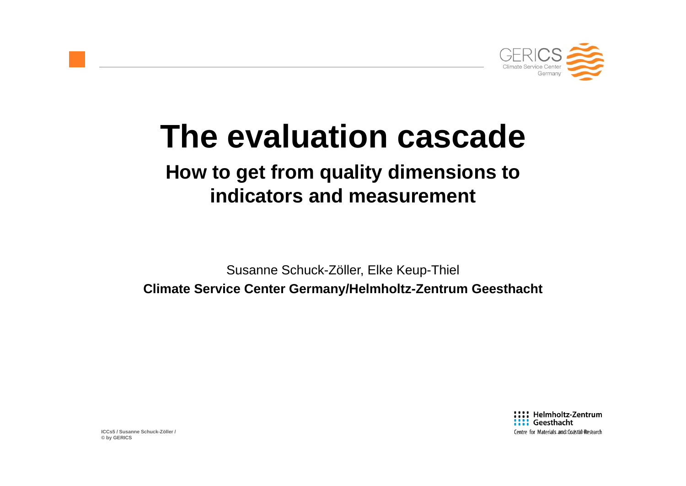

# **The evaluation cascade**

## **How to get from quality dimensions to indicators and measurement**

Susanne Schuck-Zöller, Elke Keup-Thiel **Climate Service Center Germany/Helmholtz-Zentrum Geesthacht** 

> :::: Helmholtz-Zentrum **:::: Geesthacht** Centre for Materials and 20a astab Research

**ICCs5 / Susanne Schuck-Zöller / © by GERICS**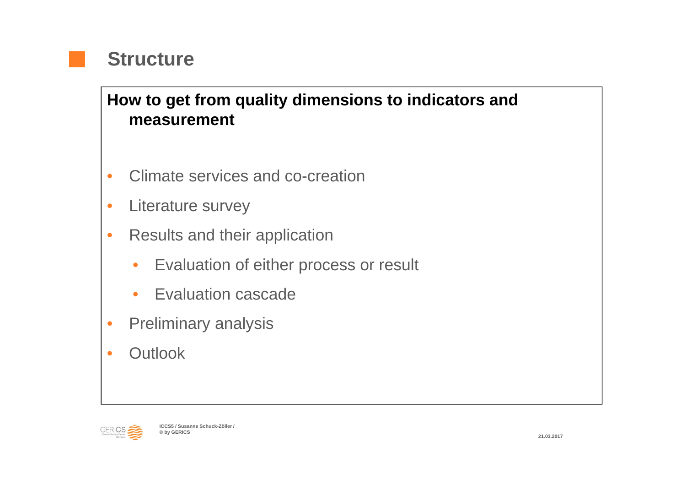

#### **How to get from quality dimensions to indicators and measurement**

- •Climate services and co-creation
- •Literature survey
- • Results and their application
	- $\bullet$ Evaluation of either process or result
	- •**• Evaluation cascade**
- •Preliminary analysis
- •• Outlook

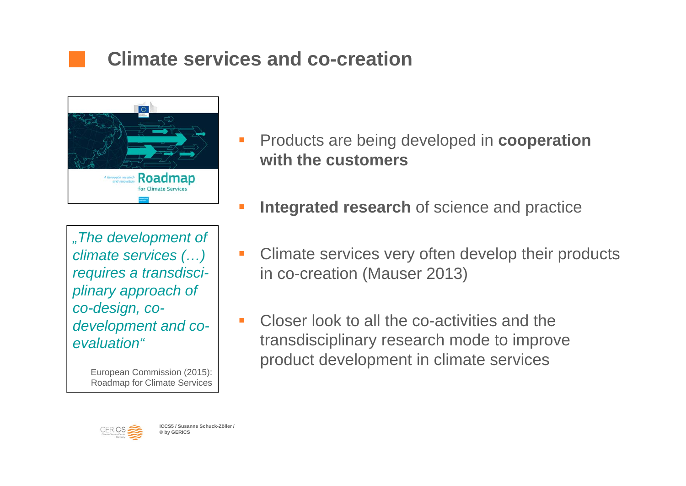## **Climate services and co-creation**



*"The development of climate services (…) requires a transdisciplinary approach of co-design, codevelopment and coevaluation"*

> European Commission (2015): Roadmap for Climate Services

- Products are being developed in **cooperation with the customers**
- П **Integrated research** of science and practice
- $\mathcal{L}_{\mathcal{A}}$  Climate services very often develop their products in co-creation (Mauser 2013)
- $\mathcal{L}_{\mathcal{A}}$  Closer look to all the co-activities and thetransdisciplinary research mode to improve product development in climate services

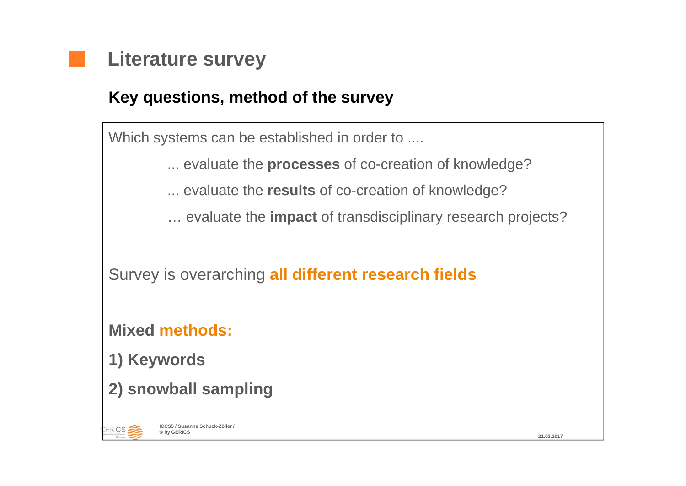

#### **Key questions, method of the survey**

Which systems can be established in order to ....

... evaluate the **processes** of co-creation of knowledge?

... evaluate the **results** of co-creation of knowledge?

… evaluate the **impact** of transdisciplinary research projects?

Survey is overarching **all different research fields**

**Mixed methods:**

**1) Keywords**

**2) snowball sampling**



**ICCS5 / Susanne Schuck-Zöller / © by GERICS**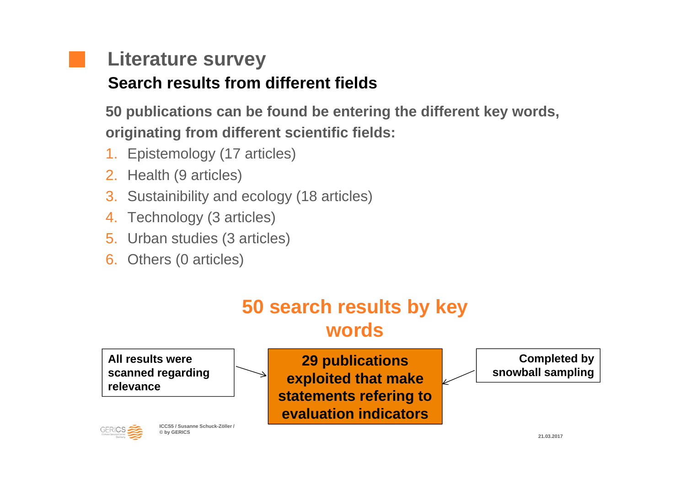# **Literature survey**

### **Search results from different fields**

**50 publications can be found be entering the different key words, originating from different scientific fields:**

- 1. Epistemology (17 articles)
- 2. Health (9 articles)
- 3. Sustainibility and ecology (18 articles)
- 4.Technology (3 articles)
- 5. Urban studies (3 articles)
- 6. Others (0 articles)

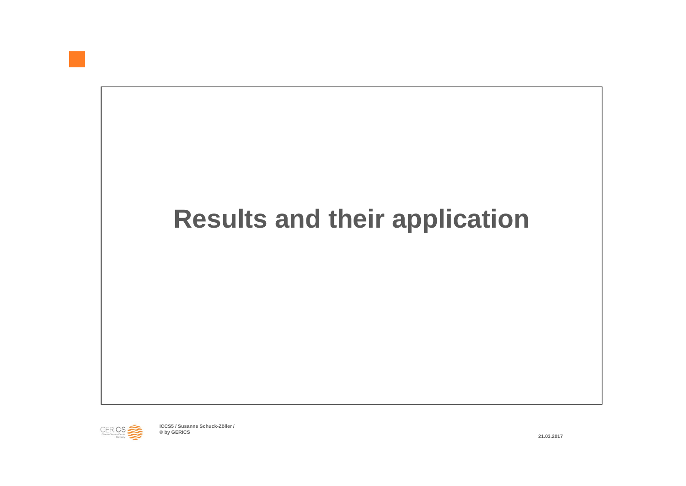

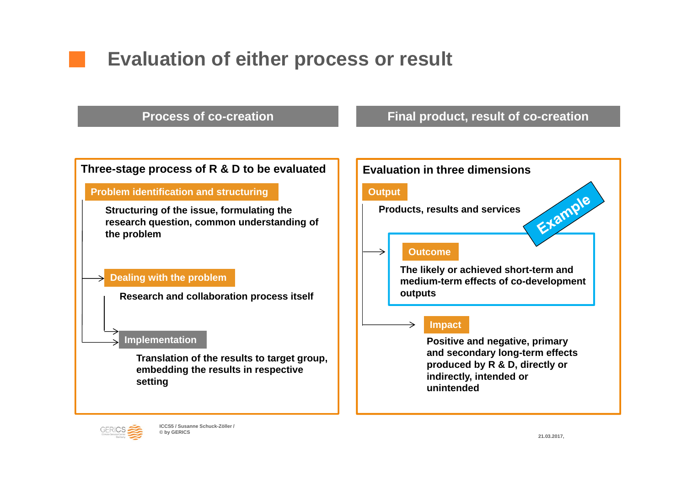## **Evaluation of either process or result**

**Process of co-creation**

#### **Final product, result of co-creation**



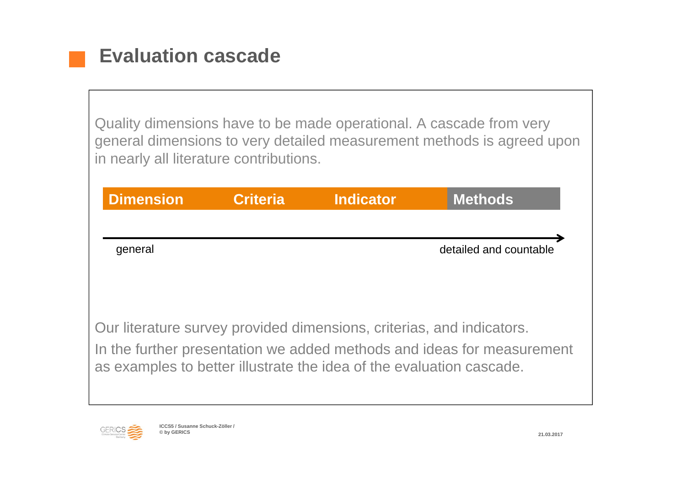Quality dimensions have to be made operational. A cascade from very general dimensions to very detailed measurement methods is agreed upon in nearly all literature contributions.

| <b>Dimension</b>                                                                                                                                                                                                        | <b>Criteria</b> | <b>Indicator</b> | <b>Methods</b>         |
|-------------------------------------------------------------------------------------------------------------------------------------------------------------------------------------------------------------------------|-----------------|------------------|------------------------|
| general                                                                                                                                                                                                                 |                 |                  | detailed and countable |
| Our literature survey provided dimensions, criterias, and indicators.<br>In the further presentation we added methods and ideas for measurement<br>as examples to better illustrate the idea of the evaluation cascade. |                 |                  |                        |

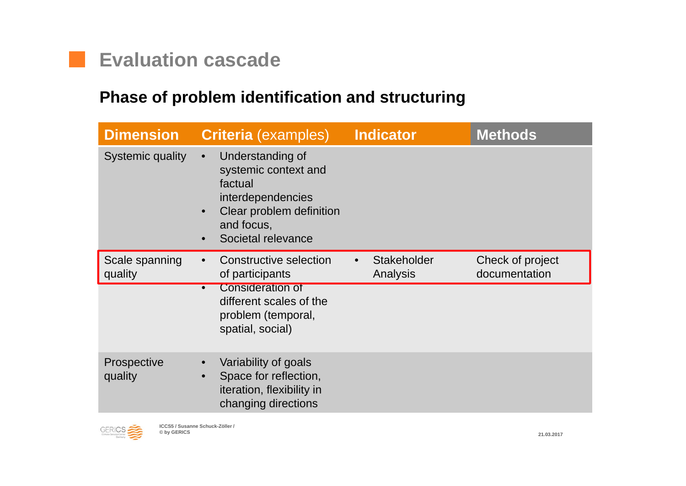

#### **Phase of problem identification and structuring**

| <b>Dimension</b>          | <b>Criteria</b> (examples)                                                                                                                                         | <b>Indicator</b>               | <b>Methods</b>                    |
|---------------------------|--------------------------------------------------------------------------------------------------------------------------------------------------------------------|--------------------------------|-----------------------------------|
| <b>Systemic quality</b>   | Understanding of<br>$\bullet$<br>systemic context and<br>factual<br>interdependencies<br>Clear problem definition<br>$\bullet$<br>and focus,<br>Societal relevance |                                |                                   |
| Scale spanning<br>quality | Constructive selection<br>$\bullet$<br>of participants                                                                                                             | <b>Stakeholder</b><br>Analysis | Check of project<br>documentation |
|                           | <b>Consideration of</b><br>$\bullet$<br>different scales of the<br>problem (temporal,<br>spatial, social)                                                          |                                |                                   |
| Prospective<br>quality    | Variability of goals<br>Space for reflection,<br>$\bullet$<br>iteration, flexibility in<br>changing directions                                                     |                                |                                   |

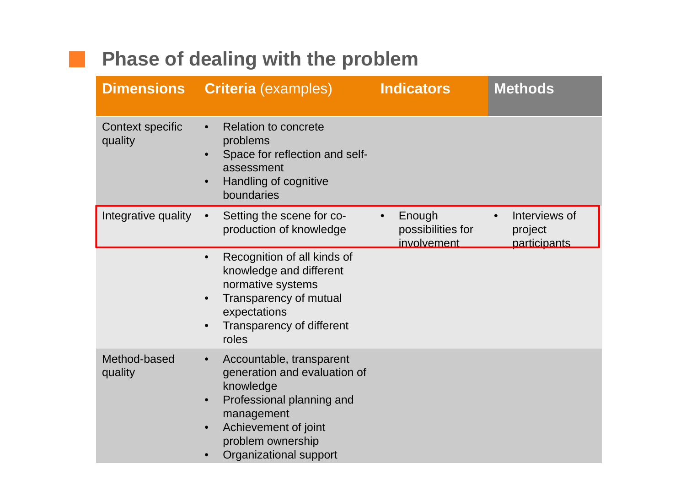## **Phase of dealing with the problem**

 $\mathcal{L}(\mathcal{A})$ 

| <b>Dimensions</b>           | <b>Criteria</b> (examples)                                                                                                                                                                                                     | <b>Indicators</b>                                       | <b>Methods</b>                                        |
|-----------------------------|--------------------------------------------------------------------------------------------------------------------------------------------------------------------------------------------------------------------------------|---------------------------------------------------------|-------------------------------------------------------|
| Context specific<br>quality | <b>Relation to concrete</b><br>$\bullet$<br>problems<br>Space for reflection and self-<br>$\bullet$<br>assessment<br>Handling of cognitive<br>$\bullet$<br>boundaries                                                          |                                                         |                                                       |
| Integrative quality         | Setting the scene for co-<br>$\bullet$<br>production of knowledge                                                                                                                                                              | Enough<br>$\bullet$<br>possibilities for<br>involvement | Interviews of<br>$\bullet$<br>project<br>participants |
|                             | Recognition of all kinds of<br>$\bullet$<br>knowledge and different<br>normative systems<br>Transparency of mutual<br>$\bullet$<br>expectations<br>Transparency of different<br>$\bullet$<br>roles                             |                                                         |                                                       |
| Method-based<br>quality     | Accountable, transparent<br>$\bullet$<br>generation and evaluation of<br>knowledge<br>Professional planning and<br>$\bullet$<br>management<br>Achievement of joint<br>$\bullet$<br>problem ownership<br>Organizational support |                                                         |                                                       |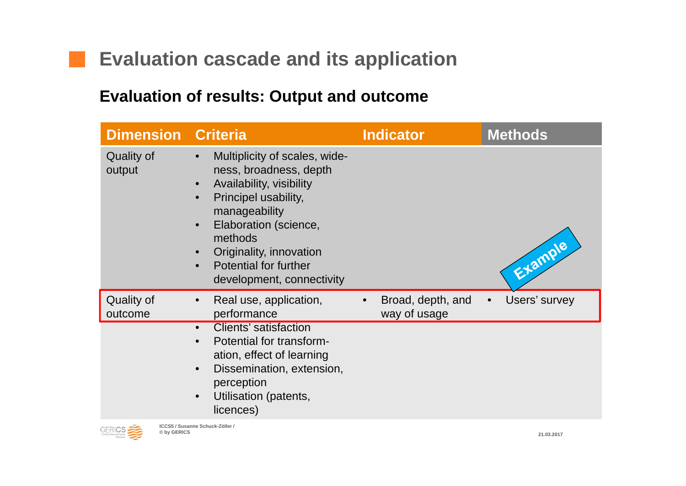## **Evaluation cascade and its application**

#### **Evaluation of results: Output and outcome**

| <b>Dimension Criteria</b>   |                                                                                                                                                                                                                                                                                    | <b>Indicator</b>                  | <b>Methods</b> |
|-----------------------------|------------------------------------------------------------------------------------------------------------------------------------------------------------------------------------------------------------------------------------------------------------------------------------|-----------------------------------|----------------|
| <b>Quality of</b><br>output | Multiplicity of scales, wide-<br>$\bullet$<br>ness, broadness, depth<br>Availability, visibility<br>$\bullet$<br>Principel usability,<br>manageability<br>Elaboration (science,<br>methods<br>Originality, innovation<br><b>Potential for further</b><br>development, connectivity |                                   | Etample        |
| Quality of<br>outcome       | Real use, application,<br>$\bullet$<br>performance                                                                                                                                                                                                                                 | Broad, depth, and<br>way of usage | Users' survey  |
|                             | <b>Clients' satisfaction</b><br>$\bullet$<br>Potential for transform-<br>ation, effect of learning<br>Dissemination, extension,<br>$\bullet$<br>perception<br>Utilisation (patents,<br>$\bullet$<br>licences)                                                                      |                                   |                |



**Tale**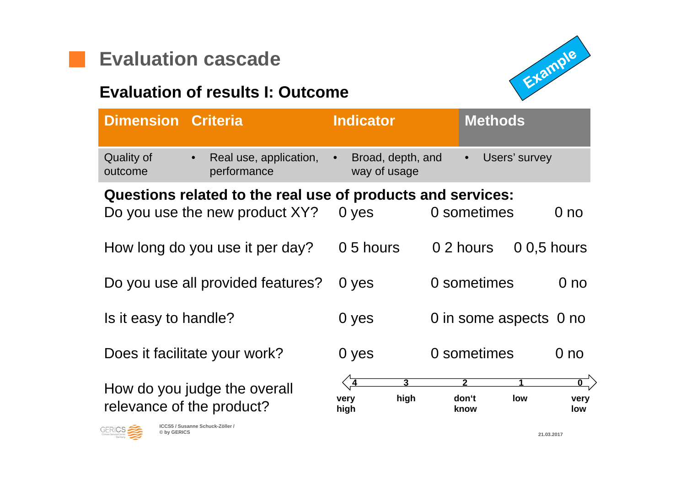



#### **Evaluation of results I: Outcome**

| <b>Dimension Criteria</b>          |                                                             | <b>Indicator</b>                            | <b>Methods</b>                                                                   |
|------------------------------------|-------------------------------------------------------------|---------------------------------------------|----------------------------------------------------------------------------------|
| <b>Quality of</b><br>outcome       | Real use, application,<br>$\bullet$<br>performance          | Broad, depth, and<br>way of usage           | Users' survey<br>$\bullet$                                                       |
|                                    | Questions related to the real use of products and services: |                                             |                                                                                  |
|                                    | Do you use the new product XY?                              | 0 yes                                       | 0 sometimes<br>0 <sub>no</sub>                                                   |
|                                    | How long do you use it per day?                             | 0.5 hours                                   | 0 2 hours<br>$0.5$ hours                                                         |
|                                    | Do you use all provided features?                           | 0 yes                                       | 0 sometimes<br>0 <sub>no</sub>                                                   |
| Is it easy to handle?              |                                                             | 0 yes                                       | 0 in some aspects 0 no                                                           |
|                                    | Does it facilitate your work?                               | 0 yes                                       | 0 sometimes<br>0 <sub>no</sub>                                                   |
|                                    | How do you judge the overall<br>relevance of the product?   | $\overline{4}$<br>3<br>high<br>very<br>high | $\overline{\mathbf{0}}^-$<br>$\mathbf{2}$<br>don't<br>low<br>very<br>low<br>know |
| GERICS <sup>2</sup><br>© by GERICS | ICCS5 / Susanne Schuck-Zöller /                             |                                             | 21 03 2017                                                                       |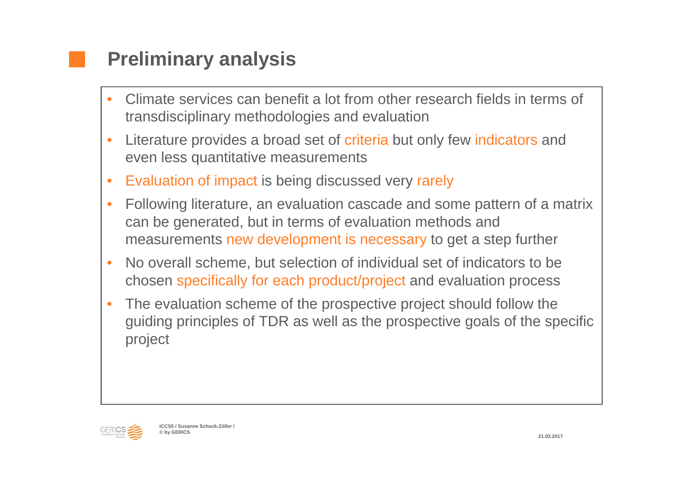## **Preliminary analysis**

- • Climate services can benefit a lot from other research fields in terms of transdisciplinary methodologies and evaluation
- • Literature provides a broad set of criteria but only few indicators and even less quantitative measurements
- •Evaluation of impact is being discussed very rarely
- • Following literature, an evaluation cascade and some pattern of a matrix can be generated, but in terms of evaluation methods and measurements new development is necessary to get a step further
- • No overall scheme, but selection of individual set of indicators to be chosen specifically for each product/project and evaluation process
- • The evaluation scheme of the prospective project should follow the guiding principles of TDR as well as the prospective goals of the specific project

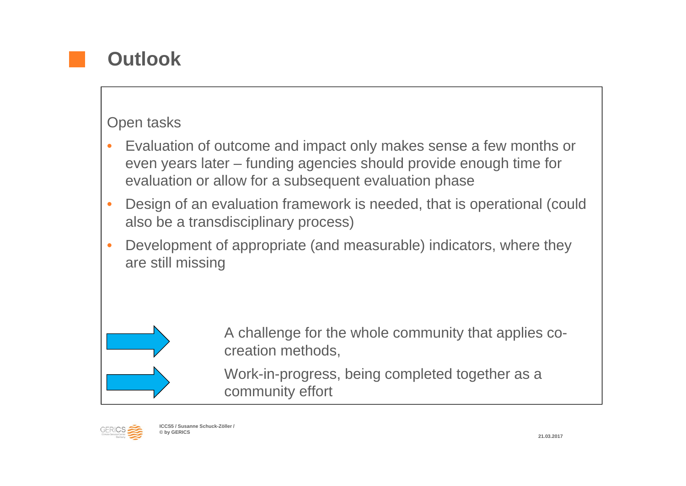

#### Open tasks

- • Evaluation of outcome and impact only makes sense a few months or even years later – funding agencies should provide enough time for evaluation or allow for a subsequent evaluation phase
- • Design of an evaluation framework is needed, that is operational (could also be a transdisciplinary process)
- • Development of appropriate (and measurable) indicators, where they are still missing



A challenge for the whole community that applies cocreation methods,

Work-in-progress, being completed together as <sup>a</sup> community effort

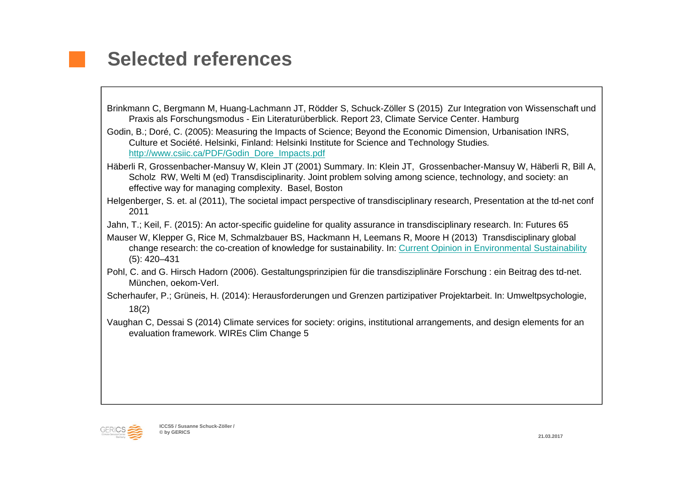## **Selected references**

- Brinkmann C, Bergmann M, Huang-Lachmann JT, Rödder S, Schuck-Zöller S (2015) Zur Integration von Wissenschaft und Praxis als Forschungsmodus - Ein Literaturüberblick. Report 23, Climate Service Center. Hamburg
- Godin, B.; Doré, C. (2005): Measuring the Impacts of Science; Beyond the Economic Dimension, Urbanisation INRS, Culture et Société. Helsinki, Finland: Helsinki Institute for Science and Technology Studies*.*  http://www.csiic.ca/PDF/Godin\_Dore\_Impacts.pdf
- Häberli R, Grossenbacher-Mansuy W, Klein JT (2001) Summary. In: Klein JT, Grossenbacher-Mansuy W, Häberli R, Bill A, Scholz RW, Welti M (ed) Transdisciplinarity. Joint problem solving among science, technology, and society: an effective way for managing complexity. Basel, Boston
- Helgenberger, S. et. al (2011), The societal impact perspective of transdisciplinary research, Presentation at the td-net conf 2011
- Jahn, T.; Keil, F. (2015): An actor-specific guideline for quality assurance in transdisciplinary research. In: Futures 65
- Mauser W, Klepper G, Rice M, Schmalzbauer BS, Hackmann H, Leemans R, Moore H (2013) Transdisciplinary global change research: the co-creation of knowledge for sustainability. In: Current Opinion in Environmental Sustainability (5): 420–431
- Pohl, C. and G. Hirsch Hadorn (2006). Gestaltungsprinzipien für die transdisziplinäre Forschung : ein Beitrag des td-net. München, oekom-Verl.
- Scherhaufer, P.; Grüneis, H. (2014): Herausforderungen und Grenzen partizipativer Projektarbeit. In: Umweltpsychologie, 18(2)
- Vaughan C, Dessai S (2014) Climate services for society: origins, institutional arrangements, and design elements for an evaluation framework. WIREs Clim Change 5